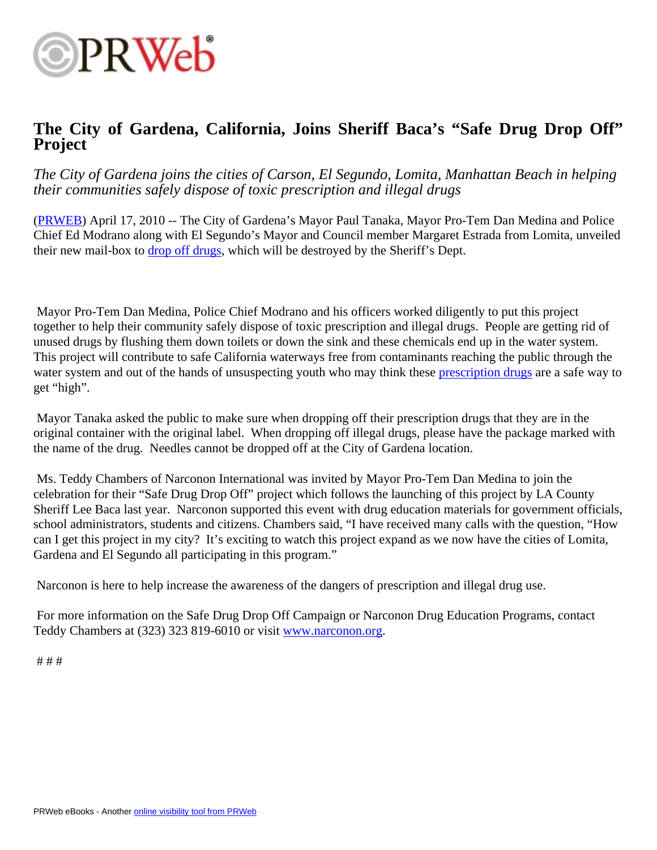

## **The City of Gardena, California, Joins Sheriff Baca's "Safe Drug Drop Off" Project**

*The City of Gardena joins the cities of Carson, El Segundo, Lomita, Manhattan Beach in helping their communities safely dispose of toxic prescription and illegal drugs*

[\(PRWEB\)](http://www.prweb.com) April 17, 2010 -- The City of Gardena's Mayor Paul Tanaka, Mayor Pro-Tem Dan Medina and Police Chief Ed Modrano along with El Segundo's Mayor and Council member Margaret Estrada from Lomita, unveiled their new mail-box to [drop off drugs](http://www.ci.gardena.ca.us/Stories/safedrugdrop.html), which will be destroyed by the Sheriff's Dept.

 Mayor Pro-Tem Dan Medina, Police Chief Modrano and his officers worked diligently to put this project together to help their community safely dispose of toxic prescription and illegal drugs. People are getting rid of unused drugs by flushing them down toilets or down the sink and these chemicals end up in the water system. This project will contribute to safe California waterways free from contaminants reaching the public through the water system and out of the hands of unsuspecting youth who may think these [prescription drugs](http://www.narconon.org/drug-information/prescription-drugs.html) are a safe way to get "high".

 Mayor Tanaka asked the public to make sure when dropping off their prescription drugs that they are in the original container with the original label. When dropping off illegal drugs, please have the package marked with the name of the drug. Needles cannot be dropped off at the City of Gardena location.

 Ms. Teddy Chambers of Narconon International was invited by Mayor Pro-Tem Dan Medina to join the celebration for their "Safe Drug Drop Off" project which follows the launching of this project by LA County Sheriff Lee Baca last year. Narconon supported this event with drug education materials for government officials, school administrators, students and citizens. Chambers said, "I have received many calls with the question, "How can I get this project in my city? It's exciting to watch this project expand as we now have the cities of Lomita, Gardena and El Segundo all participating in this program."

Narconon is here to help increase the awareness of the dangers of prescription and illegal drug use.

 For more information on the Safe Drug Drop Off Campaign or Narconon Drug Education Programs, contact Teddy Chambers at (323) 323 819-6010 or visit [www.narconon.org](http://www.narconon.org).

# # #